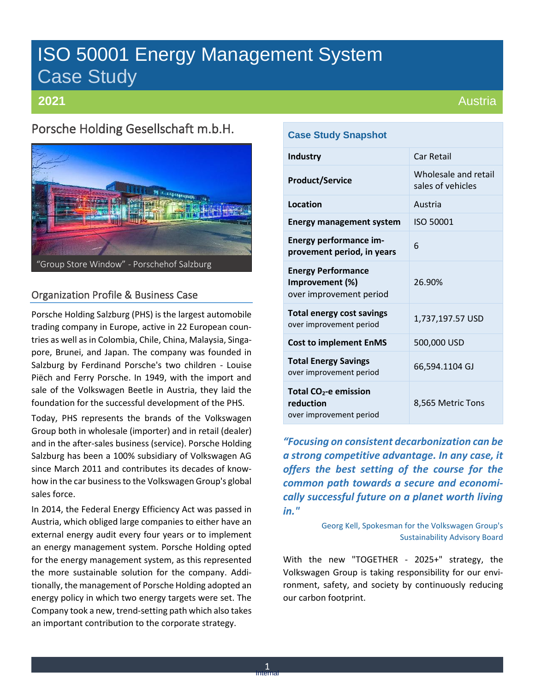# ISO 50001 Energy Management System Case Study

# **2021**

# Porsche Holding Gesellschaft m.b.H.



# Organization Profile & Business Case

Porsche Holding Salzburg (PHS) is the largest automobile trading company in Europe, active in 22 European countries as well as in Colombia, Chile, China, Malaysia, Singapore, Brunei, and Japan. The company was founded in Salzburg by Ferdinand Porsche's two children - Louise Piëch and Ferry Porsche. In 1949, with the import and sale of the Volkswagen Beetle in Austria, they laid the foundation for the successful development of the PHS.

Today, PHS represents the brands of the Volkswagen Group both in wholesale (importer) and in retail (dealer) and in the after-sales business (service). Porsche Holding Salzburg has been a 100% subsidiary of Volkswagen AG since March 2011 and contributes its decades of knowhow in the car business to the Volkswagen Group's global sales force.

In 2014, the Federal Energy Efficiency Act was passed in Austria, which obliged large companies to either have an external energy audit every four years or to implement an energy management system. Porsche Holding opted for the energy management system, as this represented the more sustainable solution for the company. Additionally, the management of Porsche Holding adopted an energy policy in which two energy targets were set. The Company took a new, trend-setting path which also takes an important contribution to the corporate strategy.

## **Case Study Snapshot**

| <b>Industry</b>                                                         | <b>Car Retail</b>                         |  |  |  |
|-------------------------------------------------------------------------|-------------------------------------------|--|--|--|
| <b>Product/Service</b>                                                  | Wholesale and retail<br>sales of vehicles |  |  |  |
| Location                                                                | Austria                                   |  |  |  |
| <b>Energy management system</b>                                         | ISO 50001                                 |  |  |  |
| <b>Energy performance im-</b><br>provement period, in years             | 6                                         |  |  |  |
| <b>Energy Performance</b><br>Improvement (%)<br>over improvement period | 26.90%                                    |  |  |  |
| <b>Total energy cost savings</b><br>over improvement period             | 1,737,197.57 USD                          |  |  |  |
| <b>Cost to implement EnMS</b>                                           | 500,000 USD                               |  |  |  |
| <b>Total Energy Savings</b><br>over improvement period                  | 66,594.1104 GJ                            |  |  |  |
| Total $CO2$ -e emission<br>reduction<br>over improvement period         | 8,565 Metric Tons                         |  |  |  |

*"Focusing on consistent decarbonization can be a strong competitive advantage. In any case, it offers the best setting of the course for the common path towards a secure and economically successful future on a planet worth living in."*

> Georg Kell, Spokesman for the Volkswagen Group's Sustainability Advisory Board

With the new "TOGETHER - 2025+" strategy, the Volkswagen Group is taking responsibility for our environment, safety, and society by continuously reducing our carbon footprint.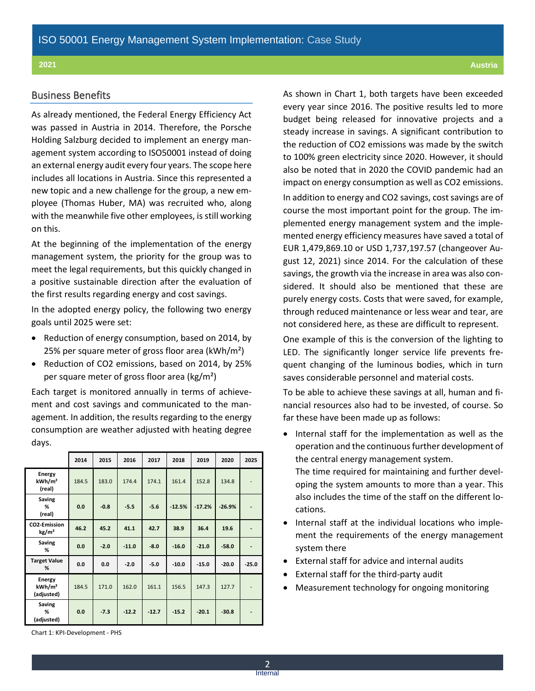#### Business Benefits

As already mentioned, the Federal Energy Efficiency Act was passed in Austria in 2014. Therefore, the Porsche Holding Salzburg decided to implement an energy management system according to ISO50001 instead of doing an external energy audit every four years. The scope here includes all locations in Austria. Since this represented a new topic and a new challenge for the group, a new employee (Thomas Huber, MA) was recruited who, along with the meanwhile five other employees, is still working on this.

At the beginning of the implementation of the energy management system, the priority for the group was to meet the legal requirements, but this quickly changed in a positive sustainable direction after the evaluation of the first results regarding energy and cost savings.

In the adopted energy policy, the following two energy goals until 2025 were set:

- Reduction of energy consumption, based on 2014, by 25% per square meter of gross floor area (kWh/m²)
- Reduction of CO2 emissions, based on 2014, by 25% per square meter of gross floor area (kg/m²)

Each target is monitored annually in terms of achievement and cost savings and communicated to the management. In addition, the results regarding to the energy consumption are weather adjusted with heating degree days.

|                                                   | 2014  | 2015   | 2016    | 2017    | 2018     | 2019     | 2020     | 2025                     |
|---------------------------------------------------|-------|--------|---------|---------|----------|----------|----------|--------------------------|
| <b>Energy</b><br>kWh/m <sup>2</sup><br>(real)     | 184.5 | 183.0  | 174.4   | 174.1   | 161.4    | 152.8    | 134.8    |                          |
| <b>Saving</b><br>%<br>(real)                      | 0.0   | $-0.8$ | $-5.5$  | $-5.6$  | $-12.5%$ | $-17.2%$ | $-26.9%$ |                          |
| <b>CO2-Emission</b><br>kg/m <sup>2</sup>          | 46.2  | 45.2   | 41.1    | 42.7    | 38.9     | 36.4     | 19.6     |                          |
| <b>Saving</b><br>℅                                | 0.0   | $-2.0$ | $-11.0$ | $-8.0$  | $-16.0$  | $-21.0$  | $-58.0$  | $\overline{\phantom{0}}$ |
| <b>Target Value</b><br>%                          | 0.0   | 0.0    | $-2.0$  | $-5.0$  | $-10.0$  | $-15.0$  | $-20.0$  | $-25.0$                  |
| <b>Energy</b><br>kWh/m <sup>2</sup><br>(adjusted) | 184.5 | 171.0  | 162.0   | 161.1   | 156.5    | 147.3    | 127.7    |                          |
| Saving<br>%<br>(adjusted)                         | 0.0   | $-7.3$ | $-12.2$ | $-12.7$ | $-15.2$  | $-20.1$  | $-30.8$  |                          |

Chart 1: KPI-Development - PHS

As shown in Chart 1, both targets have been exceeded every year since 2016. The positive results led to more budget being released for innovative projects and a steady increase in savings. A significant contribution to the reduction of CO2 emissions was made by the switch to 100% green electricity since 2020. However, it should also be noted that in 2020 the COVID pandemic had an impact on energy consumption as well as CO2 emissions. In addition to energy and CO2 savings, cost savings are of course the most important point for the group. The implemented energy management system and the implemented energy efficiency measures have saved a total of EUR 1,479,869.10 or USD 1,737,197.57 (changeover August 12, 2021) since 2014. For the calculation of these savings, the growth via the increase in area was also considered. It should also be mentioned that these are purely energy costs. Costs that were saved, for example, through reduced maintenance or less wear and tear, are not considered here, as these are difficult to represent.

One example of this is the conversion of the lighting to LED. The significantly longer service life prevents frequent changing of the luminous bodies, which in turn saves considerable personnel and material costs.

To be able to achieve these savings at all, human and financial resources also had to be invested, of course. So far these have been made up as follows:

- Internal staff for the implementation as well as the operation and the continuous further development of the central energy management system. The time required for maintaining and further developing the system amounts to more than a year. This also includes the time of the staff on the different locations.
- Internal staff at the individual locations who implement the requirements of the energy management system there
- External staff for advice and internal audits
- External staff for the third-party audit
- Measurement technology for ongoing monitoring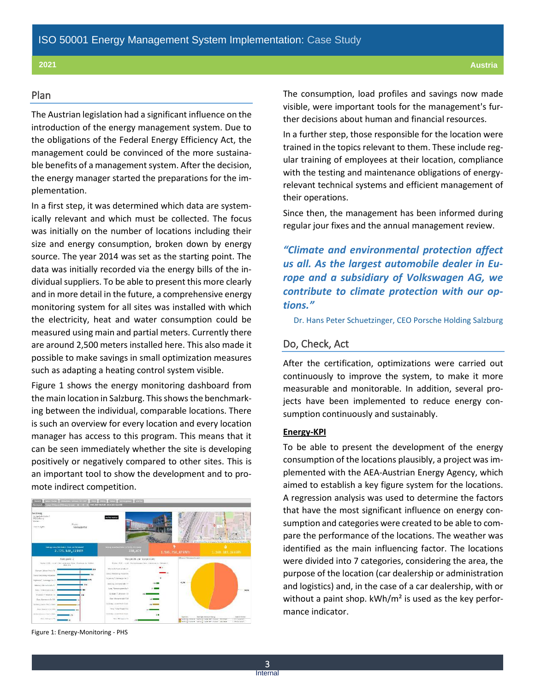#### Plan

The Austrian legislation had a significant influence on the introduction of the energy management system. Due to the obligations of the Federal Energy Efficiency Act, the management could be convinced of the more sustainable benefits of a management system. After the decision, the energy manager started the preparations for the implementation.

In a first step, it was determined which data are systemically relevant and which must be collected. The focus was initially on the number of locations including their size and energy consumption, broken down by energy source. The year 2014 was set as the starting point. The data was initially recorded via the energy bills of the individual suppliers. To be able to present this more clearly and in more detail in the future, a comprehensive energy monitoring system for all sites was installed with which the electricity, heat and water consumption could be measured using main and partial meters. Currently there are around 2,500 meters installed here. This also made it possible to make savings in small optimization measures such as adapting a heating control system visible.

Figure 1 shows the energy monitoring dashboard from the main location in Salzburg. This shows the benchmarking between the individual, comparable locations. There is such an overview for every location and every location manager has access to this program. This means that it can be seen immediately whether the site is developing positively or negatively compared to other sites. This is an important tool to show the development and to promote indirect competition.



Figure 1: Energy-Monitoring - PHS

The consumption, load profiles and savings now made visible, were important tools for the management's further decisions about human and financial resources.

In a further step, those responsible for the location were trained in the topics relevant to them. These include regular training of employees at their location, compliance with the testing and maintenance obligations of energyrelevant technical systems and efficient management of their operations.

Since then, the management has been informed during regular jour fixes and the annual management review.

*"Climate and environmental protection affect us all. As the largest automobile dealer in Europe and a subsidiary of Volkswagen AG, we contribute to climate protection with our options."*

Dr. Hans Peter Schuetzinger, CEO Porsche Holding Salzburg

### Do, Check, Act

After the certification, optimizations were carried out continuously to improve the system, to make it more measurable and monitorable. In addition, several projects have been implemented to reduce energy consumption continuously and sustainably.

#### **Energy-KPI**

To be able to present the development of the energy consumption of the locations plausibly, a project was implemented with the AEA-Austrian Energy Agency, which aimed to establish a key figure system for the locations. A regression analysis was used to determine the factors that have the most significant influence on energy consumption and categories were created to be able to compare the performance of the locations. The weather was identified as the main influencing factor. The locations were divided into 7 categories, considering the area, the purpose of the location (car dealership or administration and logistics) and, in the case of a car dealership, with or without a paint shop. kWh/m<sup>2</sup> is used as the key performance indicator.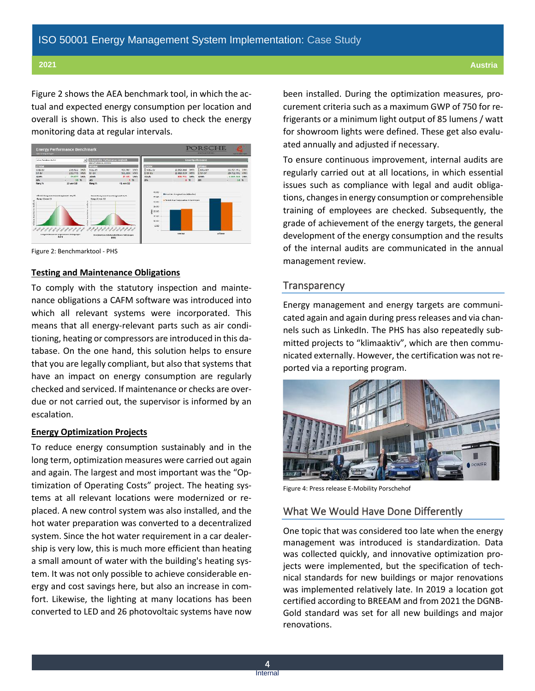Figure 2 shows the AEA benchmark tool, in which the actual and expected energy consumption per location and overall is shown. This is also used to check the energy monitoring data at regular intervals.



Figure 2: Benchmarktool - PHS

#### **Testing and Maintenance Obligations**

To comply with the statutory inspection and maintenance obligations a CAFM software was introduced into which all relevant systems were incorporated. This means that all energy-relevant parts such as air conditioning, heating or compressors are introduced in this database. On the one hand, this solution helps to ensure that you are legally compliant, but also that systems that have an impact on energy consumption are regularly checked and serviced. If maintenance or checks are overdue or not carried out, the supervisor is informed by an escalation.

#### **Energy Optimization Projects**

To reduce energy consumption sustainably and in the long term, optimization measures were carried out again and again. The largest and most important was the "Optimization of Operating Costs" project. The heating systems at all relevant locations were modernized or replaced. A new control system was also installed, and the hot water preparation was converted to a decentralized system. Since the hot water requirement in a car dealership is very low, this is much more efficient than heating a small amount of water with the building's heating system. It was not only possible to achieve considerable energy and cost savings here, but also an increase in comfort. Likewise, the lighting at many locations has been converted to LED and 26 photovoltaic systems have now been installed. During the optimization measures, procurement criteria such as a maximum GWP of 750 for refrigerants or a minimum light output of 85 lumens / watt for showroom lights were defined. These get also evaluated annually and adjusted if necessary.

To ensure continuous improvement, internal audits are regularly carried out at all locations, in which essential issues such as compliance with legal and audit obligations, changes in energy consumption or comprehensible training of employees are checked. Subsequently, the grade of achievement of the energy targets, the general development of the energy consumption and the results of the internal audits are communicated in the annual management review.

### **Transparency**

Energy management and energy targets are communicated again and again during press releases and via channels such as LinkedIn. The PHS has also repeatedly submitted projects to "klimaaktiv", which are then communicated externally. However, the certification was not reported via a reporting program.



Figure 4: Press release E-Mobility Porschehof

### What We Would Have Done Differently

One topic that was considered too late when the energy management was introduced is standardization. Data was collected quickly, and innovative optimization projects were implemented, but the specification of technical standards for new buildings or major renovations was implemented relatively late. In 2019 a location got certified according to BREEAM and from 2021 the DGNB-Gold standard was set for all new buildings and major renovations.